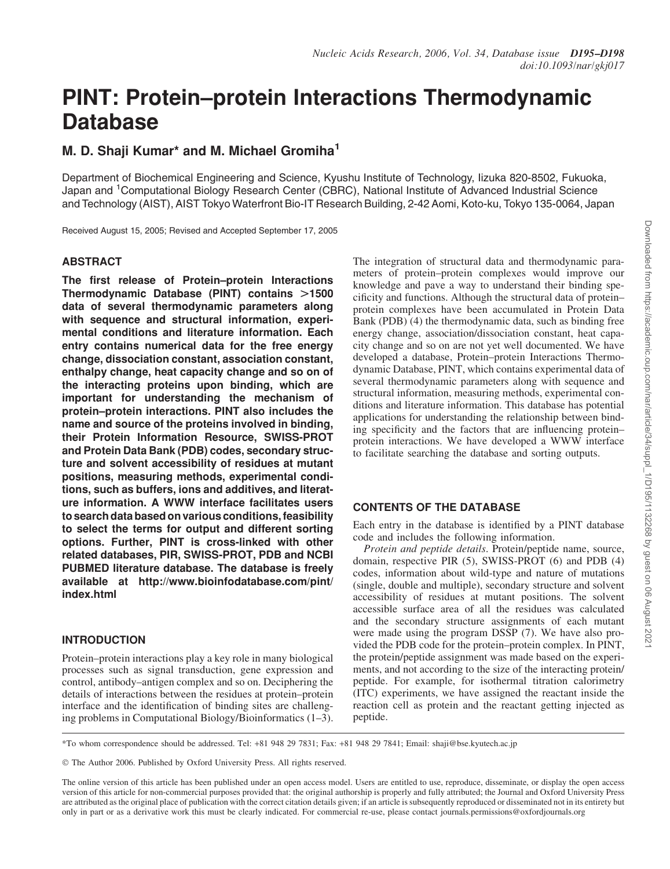# PINT: Protein–protein Interactions Thermodynamic Database

# M. D. Shaii Kumar<sup>\*</sup> and M. Michael Gromiha<sup>1</sup>

Department of Biochemical Engineering and Science, Kyushu Institute of Technology, Iizuka 820-8502, Fukuoka, Japan and <sup>1</sup>Computational Biology Research Center (CBRC), National Institute of Advanced Industrial Science and Technology (AIST), AIST Tokyo Waterfront Bio-IT Research Building, 2-42 Aomi, Koto-ku, Tokyo 135-0064, Japan

Received August 15, 2005; Revised and Accepted September 17, 2005

#### **ABSTRACT**

The first release of Protein–protein Interactions Thermodynamic Database (PINT) contains  $>1500$ data of several thermodynamic parameters along with sequence and structural information, experimental conditions and literature information. Each entry contains numerical data for the free energy change, dissociation constant, association constant, enthalpy change, heat capacity change and so on of the interacting proteins upon binding, which are important for understanding the mechanism of protein–protein interactions. PINT also includes the name and source of the proteins involved in binding, their Protein Information Resource, SWISS-PROT and Protein Data Bank (PDB) codes, secondary structure and solvent accessibility of residues at mutant positions, measuring methods, experimental conditions, such as buffers, ions and additives, and literature information. A WWW interface facilitates users to search data based on various conditions, feasibility to select the terms for output and different sorting options. Further, PINT is cross-linked with other related databases, PIR, SWISS-PROT, PDB and NCBI PUBMED literature database. The database is freely available at http://www.bioinfodatabase.com/pint/ index.html

# INTRODUCTION

Protein–protein interactions play a key role in many biological processes such as signal transduction, gene expression and control, antibody–antigen complex and so on. Deciphering the details of interactions between the residues at protein–protein interface and the identification of binding sites are challenging problems in Computational Biology/Bioinformatics (1–3).

The integration of structural data and thermodynamic parameters of protein–protein complexes would improve our knowledge and pave a way to understand their binding specificity and functions. Although the structural data of protein– protein complexes have been accumulated in Protein Data Bank (PDB) (4) the thermodynamic data, such as binding free energy change, association/dissociation constant, heat capacity change and so on are not yet well documented. We have developed a database, Protein–protein Interactions Thermodynamic Database, PINT, which contains experimental data of several thermodynamic parameters along with sequence and structural information, measuring methods, experimental conditions and literature information. This database has potential applications for understanding the relationship between binding specificity and the factors that are influencing protein– protein interactions. We have developed a WWW interface to facilitate searching the database and sorting outputs.

# CONTENTS OF THE DATABASE

Each entry in the database is identified by a PINT database code and includes the following information.

*Protein and peptide details*. Protein/peptide name, source, domain, respective PIR (5), SWISS-PROT (6) and PDB (4) codes, information about wild-type and nature of mutations (single, double and multiple), secondary structure and solvent accessibility of residues at mutant positions. The solvent accessible surface area of all the residues was calculated and the secondary structure assignments of each mutant were made using the program DSSP (7). We have also provided the PDB code for the protein–protein complex. In PINT, the protein/peptide assignment was made based on the experiments, and not according to the size of the interacting protein/ peptide. For example, for isothermal titration calorimetry (ITC) experiments, we have assigned the reactant inside the reaction cell as protein and the reactant getting injected as peptide.

© The Author 2006. Published by Oxford University Press. All rights reserved.

The online version of this article has been published under an open access model. Users are entitled to use, reproduce, disseminate, or display the open access version of this article for non-commercial purposes provided that: the original authorship is properly and fully attributed; the Journal and Oxford University Press are attributed as the original place of publication with the correct citation details given; if an article is subsequently reproduced or disseminated not in its entirety but only in part or as a derivative work this must be clearly indicated. For commercial re-use, please contact journals.permissions@oxfordjournals.org

<sup>\*</sup>To whom correspondence should be addressed. Tel: +81 948 29 7831; Fax: +81 948 29 7841; Email: shaji@bse.kyutech.ac.jp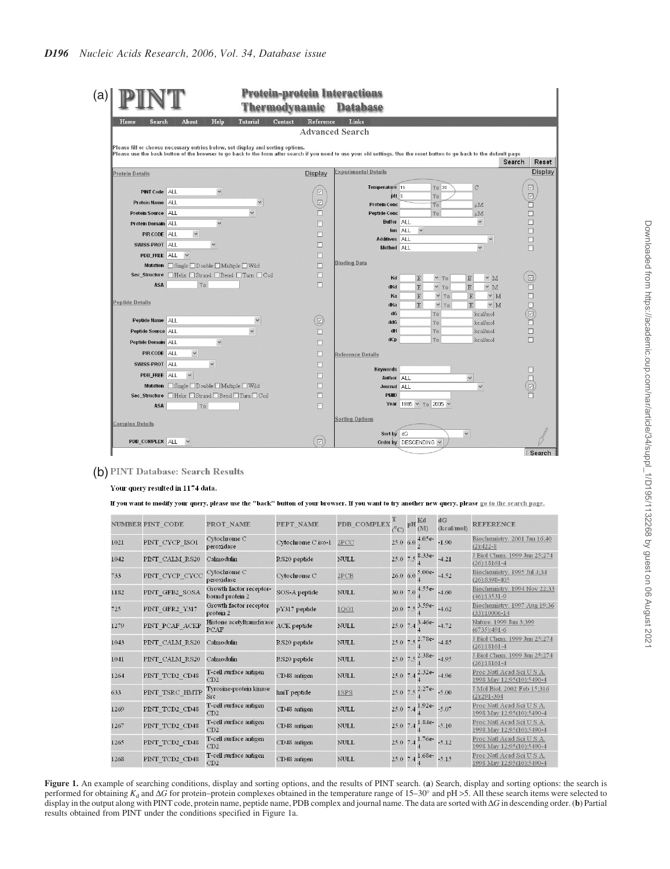|                                                                                                                                                                         |                  | madynam              | <b>Database</b>             |                                                         |                        |         |
|-------------------------------------------------------------------------------------------------------------------------------------------------------------------------|------------------|----------------------|-----------------------------|---------------------------------------------------------|------------------------|---------|
| About<br>Home<br>Search                                                                                                                                                 | Tutorial<br>Help | Contact<br>Reference | Links                       |                                                         |                        |         |
|                                                                                                                                                                         |                  |                      | <b>Advanced Search</b>      |                                                         |                        |         |
| Please fill or choose necessary entries below, set display and sorting options.                                                                                         |                  |                      |                             |                                                         |                        |         |
| Please use the back button of the browser to go back to the form after search if you need to use your old settings. Use the reset button to go back to the default page |                  |                      |                             |                                                         | Search                 | Reset   |
| <b>Protein Details</b>                                                                                                                                                  |                  | Display              | <b>Experimental Details</b> |                                                         |                        | Display |
|                                                                                                                                                                         |                  |                      | Temperature 15              | To 30<br>$\mathcal{C}$                                  | $\boxed{\vee}$         |         |
| <b>PINT Code ALL</b>                                                                                                                                                    | $\checkmark$     | ☑                    | pH 5                        | To                                                      | $\overline{\vee}$      |         |
| Protein Name ALL                                                                                                                                                        | $\checkmark$     | $\boxed{\vee}$       | <b>Protein Conc</b>         | To<br>μM                                                | п                      |         |
| Protein Source ALL                                                                                                                                                      | $\checkmark$     |                      | <b>Peptide Conc</b>         | To<br>μM                                                | п                      |         |
| Protein Domain ALL                                                                                                                                                      | $\checkmark$     |                      | <b>Buffer ALL</b>           | $\checkmark$<br>$\checkmark$<br>Ion ALL                 | п<br>п                 |         |
| $\checkmark$<br>PIR CODE ALL                                                                                                                                            |                  | П                    | Additives ALL               | $\checkmark$                                            | $\Box$                 |         |
| $\checkmark$<br>SWISS-PROT ALL                                                                                                                                          |                  | П                    | Method ALL                  | $\checkmark$                                            | П                      |         |
| PDB_FREE ALL<br>$\checkmark$                                                                                                                                            |                  | п                    |                             |                                                         |                        |         |
| Mutation Single □Double □Multiple □Wild                                                                                                                                 |                  | П                    | <b>Binding Data</b>         |                                                         |                        |         |
| Sec_Structure Helix Strand Bend ITurn ICoil                                                                                                                             |                  | П                    | Kd                          | $\times$ M<br>$\times$ To<br>$\mathbf E$<br>$\mathbb E$ | $\boxed{\smash{\vee}}$ |         |
| ASA<br>To                                                                                                                                                               |                  | П                    | dKd                         | $~\vee~$ M<br>$\mathbf E$<br>$\times$ To<br>$\mathbb E$ | □                      |         |
|                                                                                                                                                                         |                  |                      | Ka                          | $\times M$<br>$\mathbf E$<br>$\times$ To<br>$\mathbf E$ | Π                      |         |
| <b>Peptide Details</b>                                                                                                                                                  |                  |                      | dKa                         | $\times M$<br>$\mathbf E$<br>$\mathbf E$<br>$V$ To      |                        |         |
| Peptide Name ALL                                                                                                                                                        | $\checkmark$     | O)                   | dG                          | To<br>kcal/mol                                          | $\Box(\textbf{N})$     |         |
| Peptide Source ALL                                                                                                                                                      |                  | п                    | ddG<br>dH                   | kcal/mol<br>To.<br>kcal/mol<br><b>To</b>                | $\Box$                 |         |
| Peptide Domain ALL                                                                                                                                                      | $\checkmark$     |                      | dCp                         | kcal/mol<br>To                                          | $\Box$                 |         |
| PIR CODE ALL<br>$\checkmark$                                                                                                                                            |                  | П                    |                             |                                                         |                        |         |
| SWISS-PROT ALL                                                                                                                                                          |                  | □                    | <b>Reference Details</b>    |                                                         |                        |         |
| $\checkmark$                                                                                                                                                            |                  | п                    | Keywords                    |                                                         |                        |         |
| $\checkmark$<br>PDB FREE ALL                                                                                                                                            |                  | п                    | Author                      | $\checkmark$<br><b>ALL</b>                              |                        |         |
| Mutation Single Double Multiple Wild                                                                                                                                    |                  | п                    | Journal                     | <b>ALL</b><br>$\checkmark$                              |                        |         |
| Sec_Structure   Helix   Strand   Bend   Turn   Coil                                                                                                                     |                  | П                    | <b>PMID</b><br>Year         | 1985 v To 2005 v                                        |                        |         |
| <b>ASA</b><br>To                                                                                                                                                        |                  | □                    |                             |                                                         |                        |         |
| <b>Complex Details</b>                                                                                                                                                  |                  |                      | <b>Sorting Options</b>      |                                                         |                        |         |
|                                                                                                                                                                         |                  |                      | Sort by dG                  | $\checkmark$                                            |                        |         |
|                                                                                                                                                                         |                  |                      |                             |                                                         |                        |         |

# (b) PINT Database: Search Results

# Your query resulted in 1174 data.

If you want to modify your query, please use the "back" button of your browser. If you want to try another new query, please go to the search page.

|      | <b>NUMBER PINT CODE</b> | PROT NAME                                  | PEPT NAME          | <b>PDB COMPLEX</b> | $\sim$ $\rm{pH}$ $\rm{Kd}$ |                                  | dG<br>(kcal/mol) | <b>REFERENCE</b>                                       |
|------|-------------------------|--------------------------------------------|--------------------|--------------------|----------------------------|----------------------------------|------------------|--------------------------------------------------------|
| 1021 | PINT_CYCP_ISO1          | Cytochrome C<br>peroxidase                 | Cytochrome C iso-1 | 2PCC               |                            | 25.0 6.0 $\frac{4.05e}{2}$       | $-1.90$          | Biochemistry. 2001 Jan 16;40<br>$(2):422-8$            |
| 1042 | PINT CALM RS20          | Calmodulin                                 | RS20 peptide       | NUL                |                            | 25.0 7.5 $\frac{8.33e}{4}$ -4.21 |                  | J Biol Chem. 1999 Jun 25;274<br>$(26):18161-4$         |
| 733  | PINT CYCP CYCC          | Cytochrome C<br>peroxidase                 | Cytochrome C       | 2PCB               |                            | 26.0 6.0 $\frac{5.00e}{4}$ -4.52 |                  | Biochemistry. 1995 Jul 4:34<br>$(26):8398-405$         |
| 1182 | PINT GFB2 SOSA          | Growth factor receptor-<br>bound protein 2 | SOS-A peptide      | NULL               |                            | 30.0 7.0 $\frac{4.55e}{4}$ -4.60 |                  | Biochemistry. 1994 Nov 22;33<br>$(46):13531-9$         |
| 725  | PINT GFR2 Y317          | Growth factor receptor<br>protein 2        | pY317 peptide      | 1QG1               |                            | 20.0 7.5 $\frac{3.59e}{4}$ -4.62 |                  | Biochemistry. 1997 Aug 19;36<br>$(33):10006-14$        |
| 1279 | PINT PCAF ACKP          | Histone acetyltransferase<br>PCAF          | ACK peptide        | NULL               |                            | 25.0 7.4 $\frac{3.46e}{4}$ -4.72 |                  | Nature. 1999 Jun 3:399<br>$(6735):491-6$               |
| 1043 | PINT CALM RS20          | Calmodulin                                 | RS20 peptide       | NULL               |                            | 25.0 7.5 $\frac{2.78e}{4}$ -4.85 |                  | J Biol Chem. 1999 Jun 25;274<br>$(26):18161-4$         |
| 1041 | PINT CALM RS20          | Calmodulin                                 | RS20 peptide       | NULL               |                            | 25.0 7.5 $\frac{2.38e}{4}$ -4.95 |                  | J Biol Chem. 1999 Jun 25:274<br>$(26):18161-4$         |
| 1264 | PINT TCD2 CD48          | T-cell surface antigen<br>CD2              | CD48 antigen       | NULL               |                            | 25.0 7.4 $^{2.32e}_{4}$ 4.96     |                  | Proc Natl Acad Sci U S A.<br>1998 May 12:95(10):5490-4 |
| 633  | PINT TSRC HMTP          | Tyrosine-protein kinase<br><b>Src</b>      | lunT peptide       | 1SPS               |                            | 25.0 7.5 $^{2.27e}_{4}$ -5.00    |                  | J Mol Biol. 2002 Feb 15:316<br>$(2):291-304$           |
| 1269 | PINT TCD2 CD48          | T-cell surface antigen<br>CD2              | CD48 antigen       | NULL               |                            | 25.0 7.4 $\frac{1.92e}{4}$ 5.07  |                  | Proc Natl Acad Sci U S A.<br>1998 May 12:95(10):5490-4 |
| 1267 | PINT_TCD2_CD48          | T-cell surface antigen<br>CD2              | CD48 antigen       | NULL               |                            | 25.0 7.4 $\frac{1.84e}{4}$ -5.10 |                  | Proc Natl Acad Sci U S A.<br>1998 May 12:95(10):5490-4 |
| 1265 | PINT TCD2 CD48          | T-cell surface antigen<br>CD2              | CD48 antigen       | NULL               |                            | 25.0 7.4 $\frac{1.76e}{4}$ -5.12 |                  | Proc Natl Acad Sci U S A.<br>1998 May 12:95(10):5490-4 |
| 1268 | PINT_TCD2_CD48          | T-cell surface antigen<br>CD2              | CD48 antigen       | NULL               |                            | 25.0 7.4 $\frac{1.68e}{4}$ 5.15  |                  | Proc Natl Acad Sci U S A.<br>1998 May 12:95(10):5490-4 |

Figure 1. An example of searching conditions, display and sorting options, and the results of PINT search. (a) Search, display and sorting options: the search is performed for obtaining  $K_d$  and  $\Delta G$  for protein–protein complexes obtained in the temperature range of 15–30° and pH >5. All these search items were selected to display in the output along with PINT code, protein name, peptide name, PDB complex and journal name. The data are sorted with D*G* in descending order. (b) Partial results obtained from PINT under the conditions specified in Figure 1a.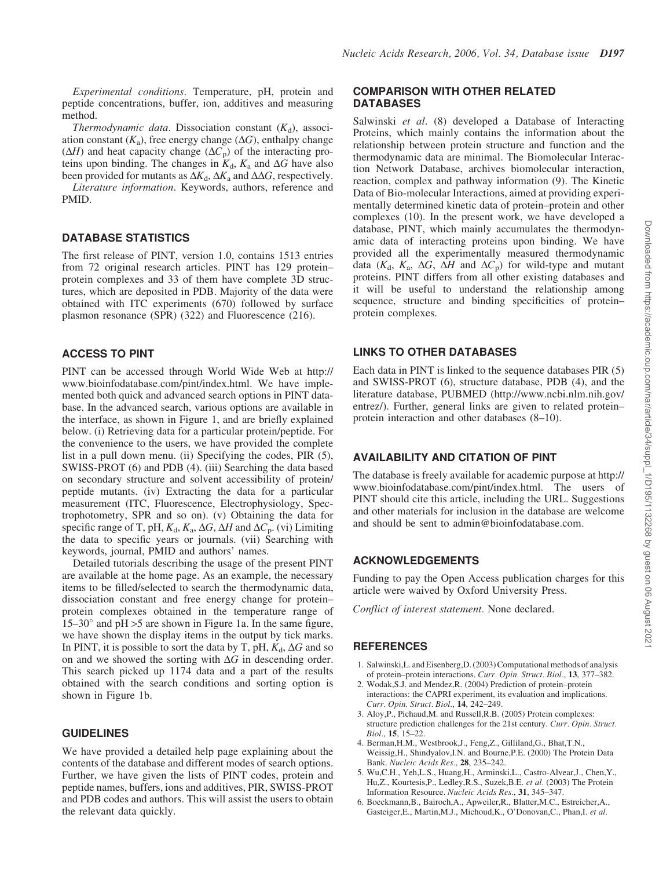*Experimental conditions*. Temperature, pH, protein and peptide concentrations, buffer, ion, additives and measuring method.

*Thermodynamic data*. Dissociation constant  $(K_d)$ , association constant  $(K_a)$ , free energy change  $(\Delta G)$ , enthalpy change  $(\Delta H)$  and heat capacity change  $(\Delta C_p)$  of the interacting proteins upon binding. The changes in  $K_d$ ,  $K_a$  and  $\Delta G$  have also been provided for mutants as  $\Delta K_d$ ,  $\Delta K_a$  and  $\Delta \Delta G$ , respectively.

*Literature information*. Keywords, authors, reference and PMID.

#### DATABASE STATISTICS

The first release of PINT, version 1.0, contains 1513 entries from 72 original research articles. PINT has 129 protein– protein complexes and 33 of them have complete 3D structures, which are deposited in PDB. Majority of the data were obtained with ITC experiments (670) followed by surface plasmon resonance (SPR) (322) and Fluorescence (216).

#### ACCESS TO PINT

PINT can be accessed through World Wide Web at http:// www.bioinfodatabase.com/pint/index.html. We have implemented both quick and advanced search options in PINT database. In the advanced search, various options are available in the interface, as shown in Figure 1, and are briefly explained below. (i) Retrieving data for a particular protein/peptide. For the convenience to the users, we have provided the complete list in a pull down menu. (ii) Specifying the codes, PIR (5), SWISS-PROT (6) and PDB (4). (iii) Searching the data based on secondary structure and solvent accessibility of protein/ peptide mutants. (iv) Extracting the data for a particular measurement (ITC, Fluorescence, Electrophysiology, Spectrophotometry, SPR and so on). (v) Obtaining the data for specific range of T, pH,  $K_d$ ,  $K_a$ ,  $\Delta G$ ,  $\Delta H$  and  $\Delta C_p$ . (vi) Limiting the data to specific years or journals. (vii) Searching with keywords, journal, PMID and authors' names.

Detailed tutorials describing the usage of the present PINT are available at the home page. As an example, the necessary items to be filled/selected to search the thermodynamic data, dissociation constant and free energy change for protein– protein complexes obtained in the temperature range of  $15-30^{\circ}$  and pH >5 are shown in Figure 1a. In the same figure, we have shown the display items in the output by tick marks. In PINT, it is possible to sort the data by T, pH,  $K_d$ ,  $\Delta G$  and so on and we showed the sorting with  $\Delta G$  in descending order. This search picked up 1174 data and a part of the results obtained with the search conditions and sorting option is shown in Figure 1b.

#### GUIDELINES

We have provided a detailed help page explaining about the contents of the database and different modes of search options. Further, we have given the lists of PINT codes, protein and peptide names, buffers, ions and additives, PIR, SWISS-PROT and PDB codes and authors. This will assist the users to obtain the relevant data quickly.

#### COMPARISON WITH OTHER RELATED DATABASES

Salwinski *et al*. (8) developed a Database of Interacting Proteins, which mainly contains the information about the relationship between protein structure and function and the thermodynamic data are minimal. The Biomolecular Interaction Network Database, archives biomolecular interaction, reaction, complex and pathway information (9). The Kinetic Data of Bio-molecular Interactions, aimed at providing experimentally determined kinetic data of protein–protein and other complexes (10). In the present work, we have developed a database, PINT, which mainly accumulates the thermodynamic data of interacting proteins upon binding. We have provided all the experimentally measured thermodynamic data ( $K_d$ ,  $K_a$ ,  $\Delta G$ ,  $\Delta H$  and  $\Delta C_p$ ) for wild-type and mutant proteins. PINT differs from all other existing databases and it will be useful to understand the relationship among sequence, structure and binding specificities of protein– protein complexes.

## LINKS TO OTHER DATABASES

Each data in PINT is linked to the sequence databases PIR (5) and SWISS-PROT (6), structure database, PDB (4), and the literature database, PUBMED (http://www.ncbi.nlm.nih.gov/ entrez/). Further, general links are given to related protein– protein interaction and other databases (8–10).

#### AVAILABILITY AND CITATION OF PINT

The database is freely available for academic purpose at http:// www.bioinfodatabase.com/pint/index.html. The users of PINT should cite this article, including the URL. Suggestions and other materials for inclusion in the database are welcome and should be sent to admin@bioinfodatabase.com.

#### ACKNOWLEDGEMENTS

Funding to pay the Open Access publication charges for this article were waived by Oxford University Press.

*Conflict of interest statement.* None declared.

## **REFERENCES**

- 1. Salwinski,L. and Eisenberg,D. (2003) Computational methods of analysis of protein–protein interactions. *Curr. Opin. Struct. Biol.*, 13, 377–382.
- 2. Wodak,S.J. and Mendez,R. (2004) Prediction of protein–protein interactions: the CAPRI experiment, its evaluation and implications. *Curr. Opin. Struct. Biol.*, 14, 242–249.
- 3. Aloy,P., Pichaud,M. and Russell,R.B. (2005) Protein complexes: structure prediction challenges for the 21st century. *Curr. Opin. Struct. Biol.*, 15, 15–22.
- 4. Berman,H.M., Westbrook,J., Feng,Z., Gilliland,G., Bhat,T.N., Weissig,H., Shindyalov,I.N. and Bourne,P.E. (2000) The Protein Data Bank. *Nucleic Acids Res.*, 28, 235–242.
- 5. Wu,C.H., Yeh,L.S., Huang,H., Arminski,L., Castro-Alvear,J., Chen,Y., Hu,Z., Kourtesis,P., Ledley,R.S., Suzek,B.E. *et al.* (2003) The Protein Information Resource. *Nucleic Acids Res.*, 31, 345–347.
- 6. Boeckmann,B., Bairoch,A., Apweiler,R., Blatter,M.C., Estreicher,A., Gasteiger,E., Martin,M.J., Michoud,K., O'Donovan,C., Phan,I. *et al.*